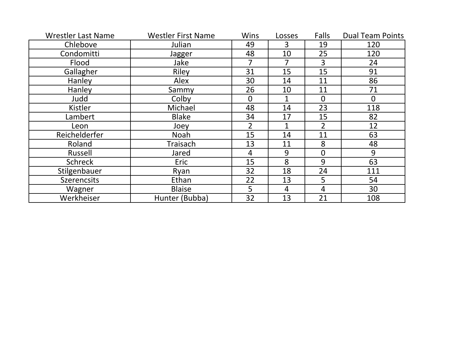| <b>Wrestler Last Name</b> | <b>Westler First Name</b> | <b>Wins</b>    | Losses         | Falls          | <b>Dual Team Points</b> |
|---------------------------|---------------------------|----------------|----------------|----------------|-------------------------|
| Chlebove                  | Julian                    | 49             | 3              | 19             | 120                     |
| Condomitti                | Jagger                    | 48             | 10             | 25             | 120                     |
| Flood                     | Jake                      |                |                | 3              | 24                      |
| Gallagher                 | Riley                     | 31             | 15             | 15             | 91                      |
| Hanley                    | Alex                      | 30             | 14             | 11             | 86                      |
| Hanley                    | Sammy                     | 26             | 10             | 11             | 71                      |
| Judd                      | Colby                     | $\overline{0}$ |                | $\overline{0}$ | $\overline{0}$          |
| Kistler                   | Michael                   | 48             | 14             | 23             | 118                     |
| Lambert                   | <b>Blake</b>              | 34             | 17             | 15             | 82                      |
| Leon                      | Joey                      | $\overline{2}$ | $\mathbf{1}$   | $\overline{2}$ | 12                      |
| Reichelderfer             | Noah                      | 15             | 14             | 11             | 63                      |
| Roland                    | Traisach                  | 13             | 11             | 8              | 48                      |
| Russell                   | Jared                     | 4              | 9              | $\mathbf 0$    | 9                       |
| <b>Schreck</b>            | Eric                      | 15             | 8              | 9              | 63                      |
| Stilgenbauer              | Ryan                      | 32             | 18             | 24             | 111                     |
| <b>Szerencsits</b>        | Ethan                     | 22             | 13             | 5              | 54                      |
| Wagner                    | <b>Blaise</b>             | 5              | $\overline{4}$ | $\overline{4}$ | 30                      |
| Werkheiser                | Hunter (Bubba)            | 32             | 13             | 21             | 108                     |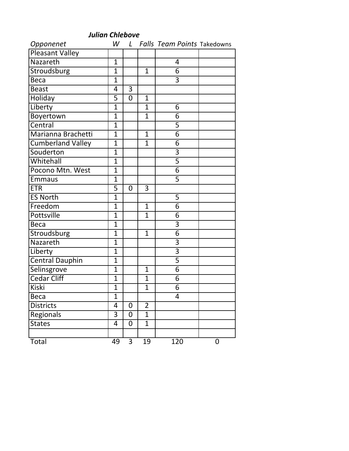| Opponenet              | W              |                |                | L Falls Team Points Takedowns |   |
|------------------------|----------------|----------------|----------------|-------------------------------|---|
| <b>Pleasant Valley</b> |                |                |                |                               |   |
| Nazareth               | $\overline{1}$ |                |                | 4                             |   |
| Stroudsburg            | $\overline{1}$ |                | $\overline{1}$ | 6                             |   |
| <b>Beca</b>            | $\overline{1}$ |                |                | 3                             |   |
| <b>Beast</b>           | 4              | 3              |                |                               |   |
| Holiday                | 5              | $\overline{0}$ | $\overline{1}$ |                               |   |
| Liberty                | $\overline{1}$ |                | $\overline{1}$ | 6                             |   |
| Boyertown              | $\overline{1}$ |                | $\overline{1}$ | 6                             |   |
| Central                | $\overline{1}$ |                |                | 5                             |   |
| Marianna Brachetti     | $\overline{1}$ |                | $\mathbf{1}$   | $\overline{6}$                |   |
| Cumberland Valley      | $\overline{1}$ |                | $\mathbf{1}$   | 6                             |   |
| Souderton              | $\overline{1}$ |                |                | $\overline{3}$                |   |
| Whitehall              | $\overline{1}$ |                |                | $\overline{5}$                |   |
| Pocono Mtn. West       | $\overline{1}$ |                |                | $\overline{6}$                |   |
| <b>Emmaus</b>          | $\overline{1}$ |                |                | $\overline{5}$                |   |
| <b>ETR</b>             | 5              | 0              | 3              |                               |   |
| <b>ES North</b>        | $\overline{1}$ |                |                | 5                             |   |
| Freedom                | $\overline{1}$ |                | $\overline{1}$ | $\overline{6}$                |   |
| Pottsville             | $\overline{1}$ |                | $\overline{1}$ | 6                             |   |
| <b>Beca</b>            | $\overline{1}$ |                |                | $\overline{3}$                |   |
| Stroudsburg            | $\overline{1}$ |                | $\mathbf{1}$   | $\overline{6}$                |   |
| Nazareth               | $\overline{1}$ |                |                | 3                             |   |
| Liberty                | $\overline{1}$ |                |                | $\overline{3}$                |   |
| <b>Central Dauphin</b> | $\overline{1}$ |                |                | $\overline{5}$                |   |
| Selinsgrove            | $\overline{1}$ |                | $\overline{1}$ | $\overline{6}$                |   |
| <b>Cedar Cliff</b>     | $\overline{1}$ |                | $\overline{1}$ | 6                             |   |
| <b>Kiski</b>           | $\overline{1}$ |                | $\overline{1}$ | 6                             |   |
| Beca                   | $\overline{1}$ |                |                | 4                             |   |
| <b>Districts</b>       | 4              | 0              | $\overline{2}$ |                               |   |
| Regionals              | 3              | 0              | $\mathbf{1}$   |                               |   |
| <b>States</b>          | 4              | 0              | $\mathbf{1}$   |                               |   |
|                        |                |                |                |                               |   |
| Total                  | 49             | 3              | 19             | 120                           | 0 |

*Julian Chlebove*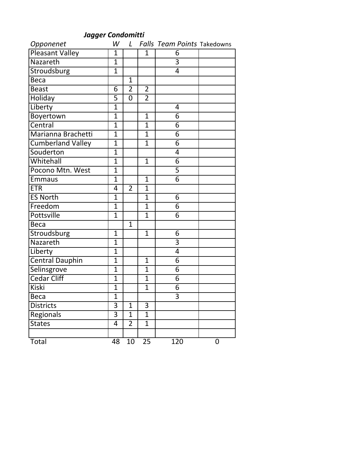## *Jagger Condomitti*

| Opponenet                | W              | $\mathcal{L}$  |                | <b>Falls Team Points Takedowns</b> |             |
|--------------------------|----------------|----------------|----------------|------------------------------------|-------------|
| <b>Pleasant Valley</b>   | $\mathbf{1}$   |                | 1              | 6                                  |             |
| Nazareth                 | $\mathbf{1}$   |                |                | $\overline{3}$                     |             |
| Stroudsburg              | $\mathbf{1}$   |                |                | 4                                  |             |
| <b>Beca</b>              |                | $\mathbf{1}$   |                |                                    |             |
| <b>Beast</b>             | 6              | $\overline{2}$ | $\overline{2}$ |                                    |             |
| <b>Holiday</b>           | $\overline{5}$ | $\overline{0}$ | $\overline{2}$ |                                    |             |
| Liberty                  | $\overline{1}$ |                |                | 4                                  |             |
| Boyertown                | $\overline{1}$ |                | $\mathbf{1}$   | 6                                  |             |
| Central                  | $\overline{1}$ |                | $\overline{1}$ | 6                                  |             |
| Marianna Brachetti       | $\overline{1}$ |                | $\mathbf{1}$   | 6                                  |             |
| <b>Cumberland Valley</b> | $\overline{1}$ |                | $\overline{1}$ | $\overline{6}$                     |             |
| Souderton                | $\mathbf{1}$   |                |                | 4                                  |             |
| Whitehall                | $\overline{1}$ |                | $\overline{1}$ | 6                                  |             |
| Pocono Mtn. West         | $\overline{1}$ |                |                | 5                                  |             |
| <b>Emmaus</b>            | $\overline{1}$ |                | $\mathbf{1}$   | $\overline{6}$                     |             |
| <b>ETR</b>               | 4              | $\overline{2}$ | $\overline{1}$ |                                    |             |
| <b>ES North</b>          | $\overline{1}$ |                | $\overline{1}$ | 6                                  |             |
| Freedom                  | $\overline{1}$ |                | $\mathbf{1}$   | 6                                  |             |
| Pottsville               | $\overline{1}$ |                | $\overline{1}$ | $\overline{6}$                     |             |
| <b>Beca</b>              |                | $\mathbf{1}$   |                |                                    |             |
| Stroudsburg              | $\mathbf{1}$   |                | $\mathbf{1}$   | 6                                  |             |
| Nazareth                 | $\overline{1}$ |                |                | 3                                  |             |
| Liberty                  | $\overline{1}$ |                |                | $\overline{4}$                     |             |
| <b>Central Dauphin</b>   | $\overline{1}$ |                | $\mathbf{1}$   | 6                                  |             |
| Selinsgrove              | $\overline{1}$ |                | $\overline{1}$ | 6                                  |             |
| <b>Cedar Cliff</b>       | $\overline{1}$ |                | $\mathbf{1}$   | 6                                  |             |
| <b>Kiski</b>             | $\overline{1}$ |                | $\overline{1}$ | 6                                  |             |
| Beca                     | $\mathbf 1$    |                |                | $\overline{3}$                     |             |
| <b>Districts</b>         | 3              | 1              | 3              |                                    |             |
| Regionals                | 3              | 1              | $\mathbf{1}$   |                                    |             |
| <b>States</b>            | 4              | $\overline{2}$ | $\mathbf{1}$   |                                    |             |
|                          |                |                |                |                                    |             |
| Total                    | 48             | 10             | 25             | 120                                | $\mathbf 0$ |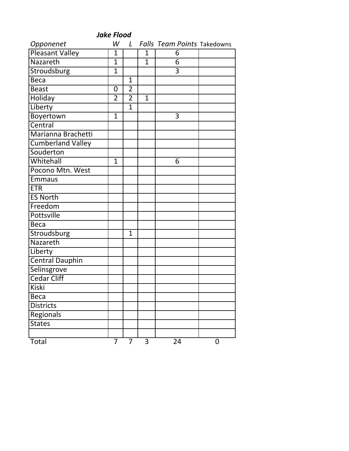| <b>Jake Flood</b>        |                |                |              |                                    |   |  |  |  |
|--------------------------|----------------|----------------|--------------|------------------------------------|---|--|--|--|
| Opponenet                | W              | $\mathsf{L}$   |              | <b>Falls Team Points Takedowns</b> |   |  |  |  |
| <b>Pleasant Valley</b>   | 1              |                | 1            | 6                                  |   |  |  |  |
| Nazareth                 | $\overline{1}$ |                | $\mathbf{1}$ | 6                                  |   |  |  |  |
| Stroudsburg              | $\mathbf 1$    |                |              | 3                                  |   |  |  |  |
| Beca                     |                | $\mathbf{1}$   |              |                                    |   |  |  |  |
| <b>Beast</b>             | $\mathbf 0$    | $\overline{2}$ |              |                                    |   |  |  |  |
| Holiday                  | $\overline{2}$ | $\overline{2}$ | $\mathbf{1}$ |                                    |   |  |  |  |
| Liberty                  |                | $\mathbf{1}$   |              |                                    |   |  |  |  |
| Boyertown                | $\mathbf{1}$   |                |              | 3                                  |   |  |  |  |
| Central                  |                |                |              |                                    |   |  |  |  |
| Marianna Brachetti       |                |                |              |                                    |   |  |  |  |
| <b>Cumberland Valley</b> |                |                |              |                                    |   |  |  |  |
| Souderton                |                |                |              |                                    |   |  |  |  |
| Whitehall                | $\overline{1}$ |                |              | 6                                  |   |  |  |  |
| Pocono Mtn. West         |                |                |              |                                    |   |  |  |  |
| Emmaus                   |                |                |              |                                    |   |  |  |  |
| <b>ETR</b>               |                |                |              |                                    |   |  |  |  |
| <b>ES North</b>          |                |                |              |                                    |   |  |  |  |
| Freedom                  |                |                |              |                                    |   |  |  |  |
| <b>Pottsville</b>        |                |                |              |                                    |   |  |  |  |
| <b>Beca</b>              |                |                |              |                                    |   |  |  |  |
| Stroudsburg              |                | $\mathbf{1}$   |              |                                    |   |  |  |  |
| Nazareth                 |                |                |              |                                    |   |  |  |  |
| Liberty                  |                |                |              |                                    |   |  |  |  |
| <b>Central Dauphin</b>   |                |                |              |                                    |   |  |  |  |
| Selinsgrove              |                |                |              |                                    |   |  |  |  |
| <b>Cedar Cliff</b>       |                |                |              |                                    |   |  |  |  |
| <b>Kiski</b>             |                |                |              |                                    |   |  |  |  |
| Beca                     |                |                |              |                                    |   |  |  |  |
| <b>Districts</b>         |                |                |              |                                    |   |  |  |  |
| Regionals                |                |                |              |                                    |   |  |  |  |
| <b>States</b>            |                |                |              |                                    |   |  |  |  |
|                          |                |                |              |                                    |   |  |  |  |
| Total                    | $\overline{7}$ | $\overline{7}$ | 3            | $\overline{24}$                    | 0 |  |  |  |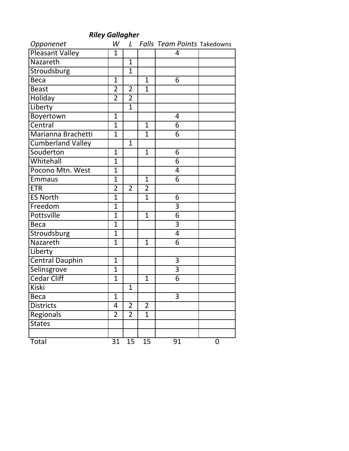# *Riley Gallagher*

| Opponenet                | W              | $\mathsf{L}$   |                | Falls Team Points Takedowns |   |
|--------------------------|----------------|----------------|----------------|-----------------------------|---|
| <b>Pleasant Valley</b>   | $\mathbf{1}$   |                |                | 4                           |   |
| Nazareth                 |                | $\mathbf{1}$   |                |                             |   |
| Stroudsburg              |                | $\mathbf{1}$   |                |                             |   |
| <b>Beca</b>              | $\mathbf{1}$   |                | $\mathbf{1}$   | 6                           |   |
| <b>Beast</b>             | $\overline{2}$ | $\overline{2}$ | $\mathbf{1}$   |                             |   |
| Holiday                  | $\overline{2}$ | $\overline{2}$ |                |                             |   |
| Liberty                  |                | $\mathbf{1}$   |                |                             |   |
| Boyertown                | $\overline{1}$ |                |                | 4                           |   |
| Central                  | $\overline{1}$ |                | $\mathbf{1}$   | 6                           |   |
| Marianna Brachetti       | $\mathbf{1}$   |                | $\mathbf{1}$   | 6                           |   |
| <b>Cumberland Valley</b> |                | $\mathbf{1}$   |                |                             |   |
| Souderton                | $\mathbf{1}$   |                | $\mathbf{1}$   | 6                           |   |
| Whitehall                | 1              |                |                | 6                           |   |
| Pocono Mtn. West         | $\overline{1}$ |                |                | 4                           |   |
| <b>Emmaus</b>            | $\overline{1}$ |                | $\mathbf{1}$   | $\overline{6}$              |   |
| <b>ETR</b>               | $\overline{2}$ | $\overline{2}$ | $\overline{2}$ |                             |   |
| <b>ES North</b>          | $\overline{1}$ |                | $\mathbf{1}$   | 6                           |   |
| Freedom                  | $\overline{1}$ |                |                | $\overline{3}$              |   |
| Pottsville               | $\overline{1}$ |                | $\mathbf{1}$   | $\overline{6}$              |   |
| <b>Beca</b>              | $\overline{1}$ |                |                | $\overline{3}$              |   |
| Stroudsburg              | $\overline{1}$ |                |                | 4                           |   |
| Nazareth                 | $\overline{1}$ |                | $\mathbf{1}$   | 6                           |   |
| Liberty                  |                |                |                |                             |   |
| <b>Central Dauphin</b>   | $\mathbf{1}$   |                |                | $\overline{3}$              |   |
| Selinsgrove              | $\overline{1}$ |                |                | $\overline{3}$              |   |
| <b>Cedar Cliff</b>       | $\mathbf{1}$   |                | $\mathbf{1}$   | $\overline{6}$              |   |
| Kiski                    |                | $\mathbf{1}$   |                |                             |   |
| Beca                     | $\mathbf 1$    |                |                | $\overline{3}$              |   |
| <b>Districts</b>         | 4              | $\overline{2}$ | $\overline{2}$ |                             |   |
| Regionals                | $\overline{2}$ | $\overline{2}$ | $\mathbf{1}$   |                             |   |
| <b>States</b>            |                |                |                |                             |   |
|                          |                |                |                |                             |   |
| Total                    | 31             | 15             | 15             | 91                          | 0 |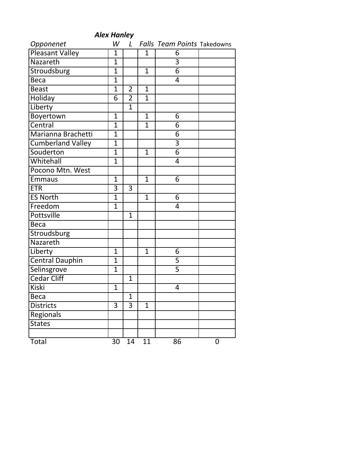| <b>Alex Hanley</b>       |                |                |                 |                                    |             |  |  |  |  |
|--------------------------|----------------|----------------|-----------------|------------------------------------|-------------|--|--|--|--|
| Opponenet                | W              | L              |                 | <b>Falls Team Points Takedowns</b> |             |  |  |  |  |
| <b>Pleasant Valley</b>   | $\overline{1}$ |                | $\mathbf{1}$    | 6                                  |             |  |  |  |  |
| Nazareth                 | 1              |                |                 | $\overline{3}$                     |             |  |  |  |  |
| Stroudsburg              | $\overline{1}$ |                | $\mathbf{1}$    | $\overline{6}$                     |             |  |  |  |  |
| Beca                     | $\overline{1}$ |                |                 | 4                                  |             |  |  |  |  |
| <b>Beast</b>             | $\overline{1}$ | $\overline{2}$ | $\mathbf{1}$    |                                    |             |  |  |  |  |
| Holiday                  | $\overline{6}$ | $\overline{2}$ | $\mathbf{1}$    |                                    |             |  |  |  |  |
| Liberty                  |                | $\mathbf{1}$   |                 |                                    |             |  |  |  |  |
| Boyertown                | $\overline{1}$ |                | $\mathbf{1}$    | 6                                  |             |  |  |  |  |
| Central                  | 1              |                | $\mathbf{1}$    | 6                                  |             |  |  |  |  |
| Marianna Brachetti       | $\overline{1}$ |                |                 | 6                                  |             |  |  |  |  |
| <b>Cumberland Valley</b> | $\overline{1}$ |                |                 | $\overline{3}$                     |             |  |  |  |  |
| Souderton                | $\overline{1}$ |                | $\mathbf{1}$    | $\overline{6}$                     |             |  |  |  |  |
| Whitehall                | $\overline{1}$ |                |                 | 4                                  |             |  |  |  |  |
| Pocono Mtn. West         |                |                |                 |                                    |             |  |  |  |  |
| <b>Emmaus</b>            | $\overline{1}$ |                | $\mathbf{1}$    | 6                                  |             |  |  |  |  |
| <b>ETR</b>               | 3              | 3              |                 |                                    |             |  |  |  |  |
| <b>ES North</b>          | $\overline{1}$ |                | $\mathbf{1}$    | 6                                  |             |  |  |  |  |
| Freedom                  | $\overline{1}$ |                |                 | 4                                  |             |  |  |  |  |
| <b>Pottsville</b>        |                | $\mathbf{1}$   |                 |                                    |             |  |  |  |  |
| <b>Beca</b>              |                |                |                 |                                    |             |  |  |  |  |
| Stroudsburg              |                |                |                 |                                    |             |  |  |  |  |
| Nazareth                 |                |                |                 |                                    |             |  |  |  |  |
| Liberty                  | $\overline{1}$ |                | $\mathbf{1}$    | 6                                  |             |  |  |  |  |
| <b>Central Dauphin</b>   | $\overline{1}$ |                |                 | $\overline{5}$                     |             |  |  |  |  |
| Selinsgrove              | $\overline{1}$ |                |                 | $\overline{5}$                     |             |  |  |  |  |
| <b>Cedar Cliff</b>       |                | $\mathbf{1}$   |                 |                                    |             |  |  |  |  |
| Kiski                    | 1              |                |                 | $\overline{4}$                     |             |  |  |  |  |
| <b>Beca</b>              |                | $\overline{1}$ |                 |                                    |             |  |  |  |  |
| <b>Districts</b>         | 3              | 3              | $\mathbf{1}$    |                                    |             |  |  |  |  |
| Regionals                |                |                |                 |                                    |             |  |  |  |  |
| <b>States</b>            |                |                |                 |                                    |             |  |  |  |  |
|                          |                |                |                 |                                    |             |  |  |  |  |
| Total                    | 30             | 14             | $\overline{11}$ | 86                                 | $\mathbf 0$ |  |  |  |  |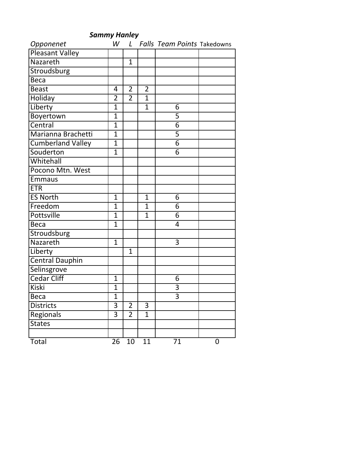|                 | <b>Sammy Hanley</b> |  |               |  |
|-----------------|---------------------|--|---------------|--|
| Opponenet       |                     |  | W L Falls Tea |  |
| Pleasant Valley |                     |  |               |  |
| Nazareth        |                     |  |               |  |
| Stroudsburg     |                     |  |               |  |
|                 |                     |  |               |  |

*Sammy Hanley*

*Im Points* Takedowns

| Nazareth                 |                | $\mathbf{1}$   |                |                |             |
|--------------------------|----------------|----------------|----------------|----------------|-------------|
| Stroudsburg              |                |                |                |                |             |
| <b>Beca</b>              |                |                |                |                |             |
| <b>Beast</b>             | 4              | $\overline{2}$ | $\overline{2}$ |                |             |
| Holiday                  | $\overline{2}$ | $\overline{2}$ | $\overline{1}$ |                |             |
| Liberty                  | $\overline{1}$ |                | $\overline{1}$ | 6              |             |
| Boyertown                | $\overline{1}$ |                |                | 5              |             |
| Central                  | $\overline{1}$ |                |                | $\overline{6}$ |             |
| Marianna Brachetti       | $\overline{1}$ |                |                | $\overline{5}$ |             |
| <b>Cumberland Valley</b> | $\overline{1}$ |                |                | $\overline{6}$ |             |
| Souderton                | $\overline{1}$ |                |                | $\overline{6}$ |             |
| Whitehall                |                |                |                |                |             |
| Pocono Mtn. West         |                |                |                |                |             |
| <b>Emmaus</b>            |                |                |                |                |             |
| <b>ETR</b>               |                |                |                |                |             |
| <b>ES North</b>          | $\overline{1}$ |                | $\mathbf{1}$   | 6              |             |
| Freedom                  | $\overline{1}$ |                | $\mathbf{1}$   | 6              |             |
| <b>Pottsville</b>        | $\overline{1}$ |                | $\overline{1}$ | $\overline{6}$ |             |
| <b>Beca</b>              | $\overline{1}$ |                |                | 4              |             |
| Stroudsburg              |                |                |                |                |             |
| Nazareth                 | $\overline{1}$ |                |                | $\overline{3}$ |             |
| Liberty                  |                | $\mathbf{1}$   |                |                |             |
| <b>Central Dauphin</b>   |                |                |                |                |             |
| Selinsgrove              |                |                |                |                |             |
| <b>Cedar Cliff</b>       | $\overline{1}$ |                |                | 6              |             |
| <b>Kiski</b>             | $\overline{1}$ |                |                | $\overline{3}$ |             |
| <b>Beca</b>              | $\overline{1}$ |                |                | $\overline{3}$ |             |
| <b>Districts</b>         | 3              | $\overline{2}$ | 3              |                |             |
| Regionals                | $\overline{3}$ | $\overline{2}$ | $\mathbf{1}$   |                |             |
| <b>States</b>            |                |                |                |                |             |
|                          |                |                |                |                |             |
| Total                    | 26             | 10             | 11             | 71             | $\mathbf 0$ |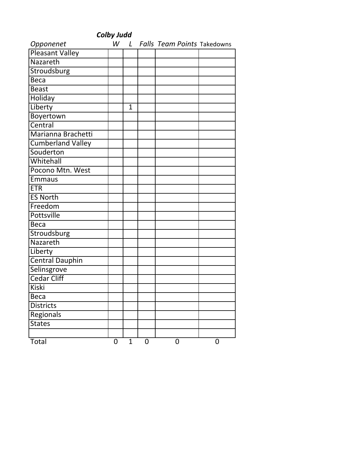| <b>Colby Judd</b>        |   |              |   |                                 |             |  |
|--------------------------|---|--------------|---|---------------------------------|-------------|--|
| Opponenet                |   |              |   | W L Falls Team Points Takedowns |             |  |
| Pleasant Valley          |   |              |   |                                 |             |  |
| Nazareth                 |   |              |   |                                 |             |  |
| Stroudsburg              |   |              |   |                                 |             |  |
| Beca                     |   |              |   |                                 |             |  |
| <b>Beast</b>             |   |              |   |                                 |             |  |
| Holiday                  |   |              |   |                                 |             |  |
| Liberty                  |   | $\mathbf{1}$ |   |                                 |             |  |
| Boyertown                |   |              |   |                                 |             |  |
| Central                  |   |              |   |                                 |             |  |
| Marianna Brachetti       |   |              |   |                                 |             |  |
| <b>Cumberland Valley</b> |   |              |   |                                 |             |  |
| Souderton                |   |              |   |                                 |             |  |
| Whitehall                |   |              |   |                                 |             |  |
| Pocono Mtn. West         |   |              |   |                                 |             |  |
| <b>Emmaus</b>            |   |              |   |                                 |             |  |
| <b>ETR</b>               |   |              |   |                                 |             |  |
| <b>ES North</b>          |   |              |   |                                 |             |  |
| Freedom                  |   |              |   |                                 |             |  |
| <b>Pottsville</b>        |   |              |   |                                 |             |  |
| <b>Beca</b>              |   |              |   |                                 |             |  |
| Stroudsburg              |   |              |   |                                 |             |  |
| Nazareth                 |   |              |   |                                 |             |  |
| Liberty                  |   |              |   |                                 |             |  |
| <b>Central Dauphin</b>   |   |              |   |                                 |             |  |
| Selinsgrove              |   |              |   |                                 |             |  |
| Cedar Cliff              |   |              |   |                                 |             |  |
| <b>Kiski</b>             |   |              |   |                                 |             |  |
| <b>Beca</b>              |   |              |   |                                 |             |  |
| <b>Districts</b>         |   |              |   |                                 |             |  |
| Regionals                |   |              |   |                                 |             |  |
| <b>States</b>            |   |              |   |                                 |             |  |
|                          |   |              |   |                                 |             |  |
| Total                    | 0 | $\mathbf{1}$ | 0 | 0                               | $\mathbf 0$ |  |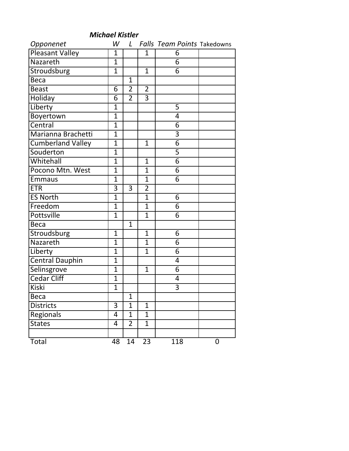#### *Michael Kistler*

| Opponenet                | W              | $\mathsf{L}$   |                | <b>Falls Team Points Takedowns</b> |   |
|--------------------------|----------------|----------------|----------------|------------------------------------|---|
| <b>Pleasant Valley</b>   | $\mathbf{1}$   |                | $\mathbf{1}$   | 6                                  |   |
| Nazareth                 | $\overline{1}$ |                |                | 6                                  |   |
| Stroudsburg              | $\mathbf{1}$   |                | $\mathbf{1}$   | $\overline{6}$                     |   |
| <b>Beca</b>              |                | $\mathbf{1}$   |                |                                    |   |
| <b>Beast</b>             | 6              | $\overline{2}$ | $\overline{2}$ |                                    |   |
| Holiday                  | $\overline{6}$ | $\overline{2}$ | $\overline{3}$ |                                    |   |
| Liberty                  | $\overline{1}$ |                |                | 5                                  |   |
| Boyertown                | $\overline{1}$ |                |                | 4                                  |   |
| Central                  | $\overline{1}$ |                |                | 6                                  |   |
| Marianna Brachetti       | $\mathbf{1}$   |                |                | $\overline{3}$                     |   |
| <b>Cumberland Valley</b> | $\overline{1}$ |                | $\mathbf{1}$   | $\overline{6}$                     |   |
| Souderton                | $\mathbf{1}$   |                |                | $\overline{5}$                     |   |
| Whitehall                | 1              |                | $\mathbf{1}$   | $\overline{6}$                     |   |
| Pocono Mtn. West         | $\overline{1}$ |                | $\overline{1}$ | 6                                  |   |
| <b>Emmaus</b>            | $\overline{1}$ |                | $\mathbf{1}$   | $\overline{6}$                     |   |
| <b>ETR</b>               | 3              | 3              | $\overline{2}$ |                                    |   |
| <b>ES North</b>          | $\overline{1}$ |                | $\mathbf{1}$   | 6                                  |   |
| Freedom                  | $\overline{1}$ |                | $\mathbf{1}$   | 6                                  |   |
| Pottsville               | $\overline{1}$ |                | $\overline{1}$ | $\overline{6}$                     |   |
| <b>Beca</b>              |                | $\mathbf{1}$   |                |                                    |   |
| Stroudsburg              | $\mathbf{1}$   |                | $\mathbf{1}$   | 6                                  |   |
| Nazareth                 | $\overline{1}$ |                | 1              | 6                                  |   |
| Liberty                  | $\overline{1}$ |                | $\mathbf{1}$   | 6                                  |   |
| <b>Central Dauphin</b>   | $\overline{1}$ |                |                | 4                                  |   |
| Selinsgrove              | $\overline{1}$ |                | $\mathbf{1}$   | 6                                  |   |
| <b>Cedar Cliff</b>       | $\mathbf{1}$   |                |                | 4                                  |   |
| <b>Kiski</b>             | $\overline{1}$ |                |                | $\overline{3}$                     |   |
| Beca                     |                | $\mathbf 1$    |                |                                    |   |
| <b>Districts</b>         | 3              | $\mathbf{1}$   | $\mathbf{1}$   |                                    |   |
| Regionals                | 4              | $\mathbf{1}$   | $\mathbf{1}$   |                                    |   |
| <b>States</b>            | 4              | $\overline{2}$ | $\mathbf{1}$   |                                    |   |
|                          |                |                |                |                                    |   |
| Total                    | 48             | 14             | 23             | 118                                | 0 |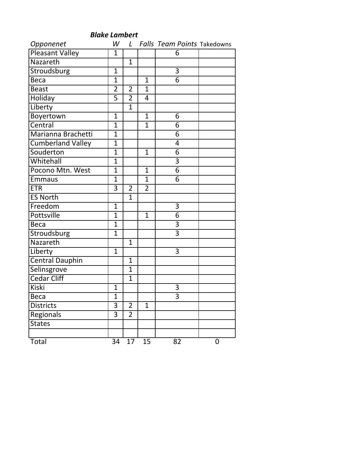| Opponenet                | W              |                |                | L Falls Team Points Takedowns |   |
|--------------------------|----------------|----------------|----------------|-------------------------------|---|
| Pleasant Valley          | $\mathbf{1}$   |                |                | 6                             |   |
| Nazareth                 |                | $\mathbf{1}$   |                |                               |   |
| Stroudsburg              | $\mathbf{1}$   |                |                | $\overline{3}$                |   |
| Beca                     | $\overline{1}$ |                | $\mathbf{1}$   | $\overline{6}$                |   |
| <b>Beast</b>             | $\overline{2}$ | $\overline{2}$ | $\mathbf{1}$   |                               |   |
| Holiday                  | $\overline{5}$ | $\overline{2}$ | $\overline{4}$ |                               |   |
| Liberty                  |                | $\mathbf{1}$   |                |                               |   |
| Boyertown                | $\mathbf{1}$   |                | $\mathbf{1}$   | 6                             |   |
| Central                  | $\overline{1}$ |                | $\mathbf{1}$   | 6                             |   |
| Marianna Brachetti       | $\overline{1}$ |                |                | $\overline{6}$                |   |
| <b>Cumberland Valley</b> | $\overline{1}$ |                |                | 4                             |   |
| Souderton                | $\mathbf{1}$   |                | $\mathbf{1}$   | 6                             |   |
| Whitehall                | $\overline{1}$ |                |                | 3                             |   |
| Pocono Mtn. West         | $\overline{1}$ |                | $\mathbf{1}$   | $\overline{6}$                |   |
| <b>Emmaus</b>            | $\overline{1}$ |                | $\mathbf{1}$   | $\overline{6}$                |   |
| <b>ETR</b>               | $\overline{3}$ | $\overline{2}$ | $\overline{2}$ |                               |   |
| <b>ES North</b>          |                | $\mathbf{1}$   |                |                               |   |
| Freedom                  | $\mathbf{1}$   |                |                | 3                             |   |
| <b>Pottsville</b>        | $\overline{1}$ |                | $\mathbf{1}$   | $\overline{6}$                |   |
| <b>Beca</b>              | $\mathbf{1}$   |                |                | $\overline{3}$                |   |
| Stroudsburg              | $\overline{1}$ |                |                | 3                             |   |
| Nazareth                 |                | $\mathbf{1}$   |                |                               |   |
| Liberty                  | $\mathbf{1}$   |                |                | $\overline{3}$                |   |
| <b>Central Dauphin</b>   |                | $\overline{1}$ |                |                               |   |
| Selinsgrove              |                | $\mathbf{1}$   |                |                               |   |
| <b>Cedar Cliff</b>       |                | $\mathbf{1}$   |                |                               |   |
| <b>Kiski</b>             | $\mathbf{1}$   |                |                | 3                             |   |
| Beca                     | 1              |                |                | 3                             |   |
| <b>Districts</b>         | 3              | $\overline{2}$ | $\mathbf{1}$   |                               |   |
| Regionals                | 3              | $\overline{2}$ |                |                               |   |
| <b>States</b>            |                |                |                |                               |   |
|                          |                |                |                |                               |   |
| Total                    | 34             | 17             | 15             | 82                            | 0 |

*Blake Lambert*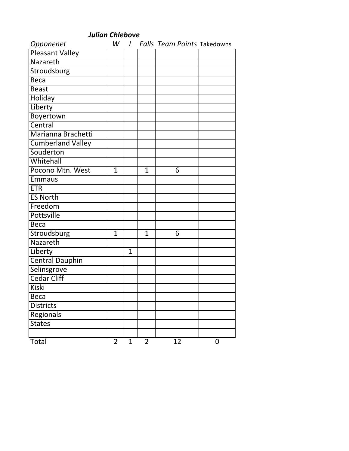| Opponenet                |                |              |                | W L Falls Team Points Takedowns |   |
|--------------------------|----------------|--------------|----------------|---------------------------------|---|
| <b>Pleasant Valley</b>   |                |              |                |                                 |   |
| Nazareth                 |                |              |                |                                 |   |
| Stroudsburg              |                |              |                |                                 |   |
| <b>Beca</b>              |                |              |                |                                 |   |
| <b>Beast</b>             |                |              |                |                                 |   |
| Holiday                  |                |              |                |                                 |   |
| Liberty                  |                |              |                |                                 |   |
| Boyertown                |                |              |                |                                 |   |
| Central                  |                |              |                |                                 |   |
| Marianna Brachetti       |                |              |                |                                 |   |
| <b>Cumberland Valley</b> |                |              |                |                                 |   |
| Souderton                |                |              |                |                                 |   |
| Whitehall                |                |              |                |                                 |   |
| Pocono Mtn. West         | $\mathbf{1}$   |              | $\mathbf{1}$   | 6                               |   |
| <b>Emmaus</b>            |                |              |                |                                 |   |
| <b>ETR</b>               |                |              |                |                                 |   |
| <b>ES North</b>          |                |              |                |                                 |   |
| Freedom                  |                |              |                |                                 |   |
| <b>Pottsville</b>        |                |              |                |                                 |   |
| <b>Beca</b>              |                |              |                |                                 |   |
| Stroudsburg              | $\overline{1}$ |              | $\overline{1}$ | 6                               |   |
| Nazareth                 |                |              |                |                                 |   |
| Liberty                  |                | $\mathbf{1}$ |                |                                 |   |
| <b>Central Dauphin</b>   |                |              |                |                                 |   |
| Selinsgrove              |                |              |                |                                 |   |
| <b>Cedar Cliff</b>       |                |              |                |                                 |   |
| <b>Kiski</b>             |                |              |                |                                 |   |
| <b>Beca</b>              |                |              |                |                                 |   |
| <b>Districts</b>         |                |              |                |                                 |   |
| Regionals                |                |              |                |                                 |   |
| <b>States</b>            |                |              |                |                                 |   |
|                          |                |              |                |                                 |   |
| Total                    | $\overline{2}$ | $\mathbf{1}$ | $\overline{2}$ | 12                              | 0 |

### *Julian Chlebove*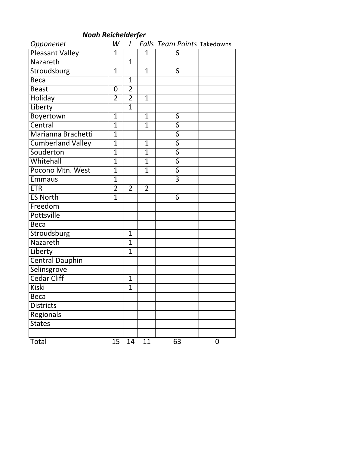## *Noah Reichelderfer*

| Opponenet                | W              | $\mathcal{L}$  |                | Falls Team Points Takedowns |   |
|--------------------------|----------------|----------------|----------------|-----------------------------|---|
| <b>Pleasant Valley</b>   | $\mathbf{1}$   |                | $\mathbf{1}$   | 6                           |   |
| Nazareth                 |                | $\mathbf{1}$   |                |                             |   |
| Stroudsburg              | $\mathbf{1}$   |                | $\mathbf{1}$   | 6                           |   |
| <b>Beca</b>              |                | $\mathbf{1}$   |                |                             |   |
| <b>Beast</b>             | 0              | $\overline{2}$ |                |                             |   |
| Holiday                  | $\overline{2}$ | $\overline{2}$ | $\mathbf{1}$   |                             |   |
| Liberty                  |                | $\mathbf{1}$   |                |                             |   |
| Boyertown                | $\overline{1}$ |                | $\mathbf{1}$   | 6                           |   |
| Central                  | $\mathbf{1}$   |                | $\overline{1}$ | 6                           |   |
| Marianna Brachetti       | $\mathbf{1}$   |                |                | 6                           |   |
| <b>Cumberland Valley</b> | $\overline{1}$ |                | $\mathbf{1}$   | $\overline{6}$              |   |
| Souderton                | $\mathbf{1}$   |                | $\mathbf{1}$   | $\overline{6}$              |   |
| Whitehall                | 1              |                | 1              | 6                           |   |
| Pocono Mtn. West         | $\overline{1}$ |                | $\overline{1}$ | 6                           |   |
| <b>Emmaus</b>            | $\overline{1}$ |                |                | $\overline{3}$              |   |
| <b>ETR</b>               | $\overline{2}$ | $\overline{2}$ | $\overline{2}$ |                             |   |
| <b>ES North</b>          | $\overline{1}$ |                |                | 6                           |   |
| Freedom                  |                |                |                |                             |   |
| Pottsville               |                |                |                |                             |   |
| <b>Beca</b>              |                |                |                |                             |   |
| Stroudsburg              |                | $\mathbf{1}$   |                |                             |   |
| Nazareth                 |                | $\mathbf{1}$   |                |                             |   |
| Liberty                  |                | $\mathbf{1}$   |                |                             |   |
| <b>Central Dauphin</b>   |                |                |                |                             |   |
| Selinsgrove              |                |                |                |                             |   |
| <b>Cedar Cliff</b>       |                | $\mathbf{1}$   |                |                             |   |
| <b>Kiski</b>             |                | $\mathbf{1}$   |                |                             |   |
| Beca                     |                |                |                |                             |   |
| <b>Districts</b>         |                |                |                |                             |   |
| Regionals                |                |                |                |                             |   |
| <b>States</b>            |                |                |                |                             |   |
|                          |                |                |                |                             |   |
| Total                    | 15             | 14             | 11             | 63                          | 0 |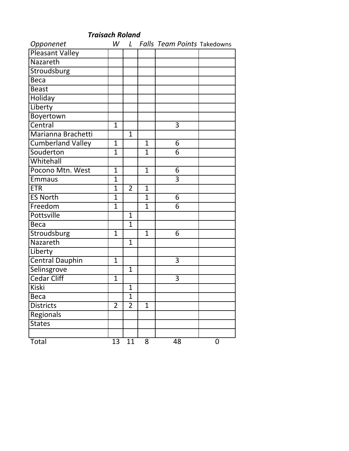| Opponenet                |                 |                |              | W L Falls Team Points Takedowns |             |
|--------------------------|-----------------|----------------|--------------|---------------------------------|-------------|
| Pleasant Valley          |                 |                |              |                                 |             |
| Nazareth                 |                 |                |              |                                 |             |
| Stroudsburg              |                 |                |              |                                 |             |
| <b>Beca</b>              |                 |                |              |                                 |             |
| <b>Beast</b>             |                 |                |              |                                 |             |
| Holiday                  |                 |                |              |                                 |             |
| Liberty                  |                 |                |              |                                 |             |
| Boyertown                |                 |                |              |                                 |             |
| Central                  | $\mathbf{1}$    |                |              | 3                               |             |
| Marianna Brachetti       |                 | $\overline{1}$ |              |                                 |             |
| <b>Cumberland Valley</b> | $\mathbf{1}$    |                | $\mathbf{1}$ | 6                               |             |
| Souderton                | $\overline{1}$  |                | $\mathbf{1}$ | 6                               |             |
| Whitehall                |                 |                |              |                                 |             |
| Pocono Mtn. West         | $\overline{1}$  |                | $\mathbf{1}$ | 6                               |             |
| <b>Emmaus</b>            | $\overline{1}$  |                |              | 3                               |             |
| <b>ETR</b>               | $\overline{1}$  | $\overline{2}$ | $\mathbf{1}$ |                                 |             |
| <b>ES North</b>          | $\overline{1}$  |                | $\mathbf{1}$ | 6                               |             |
| Freedom                  | $\overline{1}$  |                | $\mathbf{1}$ | 6                               |             |
| <b>Pottsville</b>        |                 | $\mathbf{1}$   |              |                                 |             |
| <b>Beca</b>              |                 | $\mathbf{1}$   |              |                                 |             |
| Stroudsburg              | $\overline{1}$  |                | $\mathbf{1}$ | 6                               |             |
| Nazareth                 |                 | $\mathbf{1}$   |              |                                 |             |
| Liberty                  |                 |                |              |                                 |             |
| <b>Central Dauphin</b>   | $\overline{1}$  |                |              | 3                               |             |
| Selinsgrove              |                 | $\mathbf{1}$   |              |                                 |             |
| <b>Cedar Cliff</b>       | $\mathbf{1}$    |                |              | 3                               |             |
| <b>Kiski</b>             |                 | $\mathbf{1}$   |              |                                 |             |
| <b>Beca</b>              |                 | 1              |              |                                 |             |
| <b>Districts</b>         | $\overline{2}$  | $\overline{2}$ | $\mathbf{1}$ |                                 |             |
| Regionals                |                 |                |              |                                 |             |
| <b>States</b>            |                 |                |              |                                 |             |
|                          |                 |                |              |                                 |             |
| Total                    | $\overline{1}3$ | 11             | 8            | 48                              | $\mathbf 0$ |

*Traisach Roland*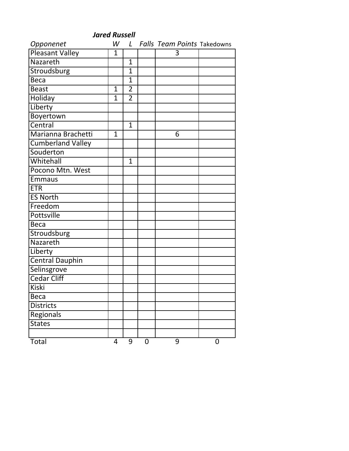| <b>Jared Russell</b>   |                |                |   |                                    |             |
|------------------------|----------------|----------------|---|------------------------------------|-------------|
| Opponenet              | W              | L              |   | <b>Falls Team Points Takedowns</b> |             |
| <b>Pleasant Valley</b> | $\mathbf{1}$   |                |   | 3                                  |             |
| Nazareth               |                | $\mathbf{1}$   |   |                                    |             |
| Stroudsburg            |                | 1              |   |                                    |             |
| Beca                   |                | $\overline{1}$ |   |                                    |             |
| <b>Beast</b>           | $\mathbf{1}$   | $\overline{2}$ |   |                                    |             |
| <b>Holiday</b>         | $\overline{1}$ | $\overline{2}$ |   |                                    |             |
| Liberty                |                |                |   |                                    |             |
| Boyertown              |                |                |   |                                    |             |
| Central                |                | $\mathbf{1}$   |   |                                    |             |
| Marianna Brachetti     | $\mathbf{1}$   |                |   | 6                                  |             |
| Cumberland Valley      |                |                |   |                                    |             |
| Souderton              |                |                |   |                                    |             |
| Whitehall              |                | $\mathbf{1}$   |   |                                    |             |
| Pocono Mtn. West       |                |                |   |                                    |             |
| <b>Emmaus</b>          |                |                |   |                                    |             |
| <b>ETR</b>             |                |                |   |                                    |             |
| <b>ES North</b>        |                |                |   |                                    |             |
| Freedom                |                |                |   |                                    |             |
| Pottsville             |                |                |   |                                    |             |
| <b>Beca</b>            |                |                |   |                                    |             |
| Stroudsburg            |                |                |   |                                    |             |
| Nazareth               |                |                |   |                                    |             |
| Liberty                |                |                |   |                                    |             |
| <b>Central Dauphin</b> |                |                |   |                                    |             |
| Selinsgrove            |                |                |   |                                    |             |
| <b>Cedar Cliff</b>     |                |                |   |                                    |             |
| Kiski                  |                |                |   |                                    |             |
| <b>Beca</b>            |                |                |   |                                    |             |
| <b>Districts</b>       |                |                |   |                                    |             |
| Regionals              |                |                |   |                                    |             |
| <b>States</b>          |                |                |   |                                    |             |
|                        |                |                |   |                                    |             |
| Total                  | 4              | 9              | 0 | 9                                  | $\mathbf 0$ |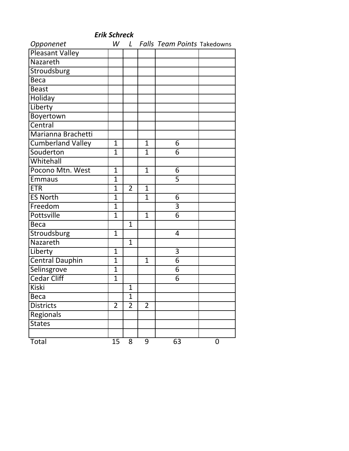|                          |                |                |                | <b>Erik Schreck</b>                |             |  |  |  |  |
|--------------------------|----------------|----------------|----------------|------------------------------------|-------------|--|--|--|--|
| Opponenet                |                | W L            |                | <b>Falls Team Points Takedowns</b> |             |  |  |  |  |
| <b>Pleasant Valley</b>   |                |                |                |                                    |             |  |  |  |  |
| Nazareth                 |                |                |                |                                    |             |  |  |  |  |
| Stroudsburg              |                |                |                |                                    |             |  |  |  |  |
| <b>Beca</b>              |                |                |                |                                    |             |  |  |  |  |
| <b>Beast</b>             |                |                |                |                                    |             |  |  |  |  |
| <b>Holiday</b>           |                |                |                |                                    |             |  |  |  |  |
| Liberty                  |                |                |                |                                    |             |  |  |  |  |
| Boyertown                |                |                |                |                                    |             |  |  |  |  |
| Central                  |                |                |                |                                    |             |  |  |  |  |
| Marianna Brachetti       |                |                |                |                                    |             |  |  |  |  |
| <b>Cumberland Valley</b> | $\overline{1}$ |                | $\mathbf{1}$   | 6                                  |             |  |  |  |  |
| Souderton                | $\mathbf 1$    |                | 1              | 6                                  |             |  |  |  |  |
| Whitehall                |                |                |                |                                    |             |  |  |  |  |
| Pocono Mtn. West         | $\mathbf{1}$   |                | $\mathbf{1}$   | 6                                  |             |  |  |  |  |
| <b>Emmaus</b>            | $\overline{1}$ |                |                | $\overline{5}$                     |             |  |  |  |  |
| <b>ETR</b>               | $\mathbf 1$    | $\overline{2}$ | $\mathbf{1}$   |                                    |             |  |  |  |  |
| <b>ES North</b>          | $\overline{1}$ |                | $\mathbf{1}$   | 6                                  |             |  |  |  |  |
| Freedom                  | $\overline{1}$ |                |                | $\overline{3}$                     |             |  |  |  |  |
| <b>Pottsville</b>        | $\mathbf 1$    |                | $\mathbf{1}$   | $\overline{6}$                     |             |  |  |  |  |
| <b>Beca</b>              |                | $\mathbf{1}$   |                |                                    |             |  |  |  |  |
| Stroudsburg              | $\mathbf{1}$   |                |                | 4                                  |             |  |  |  |  |
| Nazareth                 |                | $\mathbf{1}$   |                |                                    |             |  |  |  |  |
| Liberty                  | $\mathbf{1}$   |                |                | 3                                  |             |  |  |  |  |
| <b>Central Dauphin</b>   | 1              |                | $\mathbf{1}$   | $\overline{6}$                     |             |  |  |  |  |
| Selinsgrove              | $\overline{1}$ |                |                | 6                                  |             |  |  |  |  |
| <b>Cedar Cliff</b>       | $\overline{1}$ |                |                | 6                                  |             |  |  |  |  |
| <b>Kiski</b>             |                | $\overline{1}$ |                |                                    |             |  |  |  |  |
| <b>Beca</b>              |                | $\overline{1}$ |                |                                    |             |  |  |  |  |
| <b>Districts</b>         | $\overline{2}$ | $\overline{2}$ | $\overline{2}$ |                                    |             |  |  |  |  |
| Regionals                |                |                |                |                                    |             |  |  |  |  |
| <b>States</b>            |                |                |                |                                    |             |  |  |  |  |
|                          |                |                |                |                                    |             |  |  |  |  |
| Total                    | 15             | 8              | 9              | 63                                 | $\mathbf 0$ |  |  |  |  |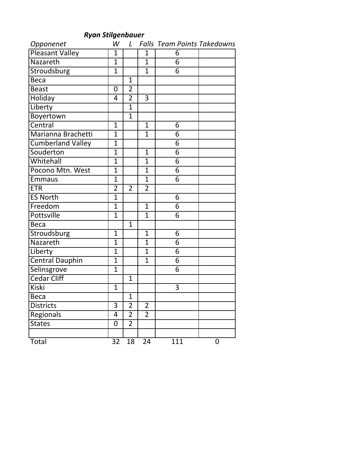*Ryan Stilgenbauer*

| Opponenet                | W              | $\mathcal{L}$  |                | <b>Falls Team Points Takedowns</b> |   |
|--------------------------|----------------|----------------|----------------|------------------------------------|---|
| <b>Pleasant Valley</b>   | $\mathbf{1}$   |                | 1              | 6                                  |   |
| Nazareth                 | $\overline{1}$ |                | $\mathbf{1}$   | $\overline{6}$                     |   |
| Stroudsburg              | $\overline{1}$ |                | $\mathbf{1}$   | $\overline{6}$                     |   |
| <b>Beca</b>              |                | $\mathbf{1}$   |                |                                    |   |
| <b>Beast</b>             | 0              | $\overline{2}$ |                |                                    |   |
| Holiday                  | 4              | $\overline{2}$ | $\overline{3}$ |                                    |   |
| Liberty                  |                | $\mathbf{1}$   |                |                                    |   |
| Boyertown                |                | $\mathbf 1$    |                |                                    |   |
| Central                  | $\mathbf{1}$   |                | $\mathbf{1}$   | 6                                  |   |
| Marianna Brachetti       | $\overline{1}$ |                | $\mathbf{1}$   | 6                                  |   |
| <b>Cumberland Valley</b> | $\overline{1}$ |                |                | $\overline{6}$                     |   |
| Souderton                | $\overline{1}$ |                | $\mathbf{1}$   | $\overline{6}$                     |   |
| Whitehall                | $\overline{1}$ |                | 1              | 6                                  |   |
| Pocono Mtn. West         | $\overline{1}$ |                | $\mathbf{1}$   | 6                                  |   |
| <b>Emmaus</b>            | $\overline{1}$ |                | $\mathbf{1}$   | 6                                  |   |
| <b>ETR</b>               | $\overline{2}$ | $\overline{2}$ | $\overline{2}$ |                                    |   |
| <b>ES North</b>          | $\overline{1}$ |                |                | 6                                  |   |
| Freedom                  | $\overline{1}$ |                | $\mathbf{1}$   | 6                                  |   |
| Pottsville               | $\overline{1}$ |                | $\overline{1}$ | $\overline{6}$                     |   |
| <b>Beca</b>              |                | $\mathbf{1}$   |                |                                    |   |
| Stroudsburg              | $\mathbf{1}$   |                | $\mathbf{1}$   | 6                                  |   |
| Nazareth                 | $\overline{1}$ |                | 1              | 6                                  |   |
| Liberty                  | $\overline{1}$ |                | $\overline{1}$ | 6                                  |   |
| <b>Central Dauphin</b>   | $\overline{1}$ |                | $\mathbf{1}$   | $\overline{6}$                     |   |
| Selinsgrove              | $\overline{1}$ |                |                | 6                                  |   |
| <b>Cedar Cliff</b>       |                | $\mathbf{1}$   |                |                                    |   |
| <b>Kiski</b>             | $\overline{1}$ |                |                | $\overline{3}$                     |   |
| Beca                     |                | $\mathbf 1$    |                |                                    |   |
| <b>Districts</b>         | 3              | $\overline{2}$ | $\overline{2}$ |                                    |   |
| Regionals                | 4              | $\overline{2}$ | $\overline{2}$ |                                    |   |
| <b>States</b>            | 0              | $\overline{2}$ |                |                                    |   |
|                          |                |                |                |                                    |   |
| Total                    | 32             | 18             | 24             | 111                                | 0 |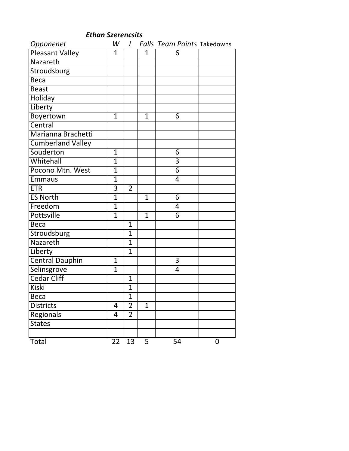| Opponenet                | W              |                |              | L Falls Team Points Takedowns |   |
|--------------------------|----------------|----------------|--------------|-------------------------------|---|
| <b>Pleasant Valley</b>   | $\mathbf{1}$   |                | 1            | 6                             |   |
| Nazareth                 |                |                |              |                               |   |
| Stroudsburg              |                |                |              |                               |   |
| <b>Beca</b>              |                |                |              |                               |   |
| <b>Beast</b>             |                |                |              |                               |   |
| Holiday                  |                |                |              |                               |   |
| Liberty                  |                |                |              |                               |   |
| Boyertown                | $\mathbf{1}$   |                | $\mathbf{1}$ | 6                             |   |
| Central                  |                |                |              |                               |   |
| Marianna Brachetti       |                |                |              |                               |   |
| <b>Cumberland Valley</b> |                |                |              |                               |   |
| Souderton                | $\mathbf 1$    |                |              | 6                             |   |
| Whitehall                | $\mathbf{1}$   |                |              | 3                             |   |
| Pocono Mtn. West         | $\mathbf{1}$   |                |              | $\overline{6}$                |   |
| <b>Emmaus</b>            | $\overline{1}$ |                |              | 4                             |   |
| <b>ETR</b>               | $\overline{3}$ | $\overline{2}$ |              |                               |   |
| <b>ES North</b>          | $\mathbf{1}$   |                | $\mathbf{1}$ | 6                             |   |
| Freedom                  | $\overline{1}$ |                |              | 4                             |   |
| <b>Pottsville</b>        | $\mathbf 1$    |                | $\mathbf{1}$ | 6                             |   |
| <b>Beca</b>              |                | $\mathbf{1}$   |              |                               |   |
| Stroudsburg              |                | $\mathbf{1}$   |              |                               |   |
| Nazareth                 |                | $\mathbf{1}$   |              |                               |   |
| Liberty                  |                | $\mathbf{1}$   |              |                               |   |
| <b>Central Dauphin</b>   | $\mathbf{1}$   |                |              | $\overline{3}$                |   |
| Selinsgrove              | $\mathbf{1}$   |                |              | 4                             |   |
| <b>Cedar Cliff</b>       |                | $\mathbf{1}$   |              |                               |   |
| <b>Kiski</b>             |                | $\overline{1}$ |              |                               |   |
| Beca                     |                | 1              |              |                               |   |
| <b>Districts</b>         | 4              | $\overline{2}$ | $\mathbf{1}$ |                               |   |
| Regionals                | 4              | $\overline{2}$ |              |                               |   |
| <b>States</b>            |                |                |              |                               |   |
|                          |                |                |              |                               |   |
| Total                    | 22             | 13             | 5            | 54                            | 0 |

*Ethan Szerencsits*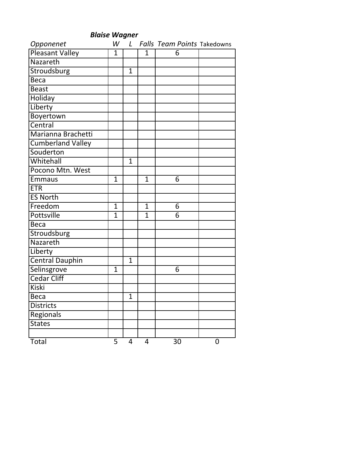| <b>Blaise Wagner</b>     |                |              |                |                                    |   |
|--------------------------|----------------|--------------|----------------|------------------------------------|---|
| Opponenet                | W              | $\mathsf{L}$ |                | <b>Falls Team Points Takedowns</b> |   |
| Pleasant Valley          | 1              |              | 1              | 6                                  |   |
| Nazareth                 |                |              |                |                                    |   |
| <b>Stroudsburg</b>       |                | $\mathbf{1}$ |                |                                    |   |
| <b>Beca</b>              |                |              |                |                                    |   |
| <b>Beast</b>             |                |              |                |                                    |   |
| <b>Holiday</b>           |                |              |                |                                    |   |
| Liberty                  |                |              |                |                                    |   |
| Boyertown                |                |              |                |                                    |   |
| Central                  |                |              |                |                                    |   |
| Marianna Brachetti       |                |              |                |                                    |   |
| <b>Cumberland Valley</b> |                |              |                |                                    |   |
| Souderton                |                |              |                |                                    |   |
| Whitehall                |                | $\mathbf{1}$ |                |                                    |   |
| Pocono Mtn. West         |                |              |                |                                    |   |
| <b>Emmaus</b>            | 1              |              | $\mathbf{1}$   | 6                                  |   |
| <b>ETR</b>               |                |              |                |                                    |   |
| <b>ES North</b>          |                |              |                |                                    |   |
| Freedom                  | $\overline{1}$ |              | $\mathbf{1}$   | 6                                  |   |
| <b>Pottsville</b>        | $\overline{1}$ |              | 1              | 6                                  |   |
| <b>Beca</b>              |                |              |                |                                    |   |
| Stroudsburg              |                |              |                |                                    |   |
| Nazareth                 |                |              |                |                                    |   |
| Liberty                  |                |              |                |                                    |   |
| <b>Central Dauphin</b>   |                | $\mathbf{1}$ |                |                                    |   |
| Selinsgrove              | $\overline{1}$ |              |                | 6                                  |   |
| <b>Cedar Cliff</b>       |                |              |                |                                    |   |
| <b>Kiski</b>             |                |              |                |                                    |   |
| <b>Beca</b>              |                | $\mathbf{1}$ |                |                                    |   |
| <b>Districts</b>         |                |              |                |                                    |   |
| Regionals                |                |              |                |                                    |   |
| <b>States</b>            |                |              |                |                                    |   |
|                          |                |              |                |                                    |   |
| Total                    | 5              | 4            | $\overline{4}$ | $\overline{3}0$                    | 0 |